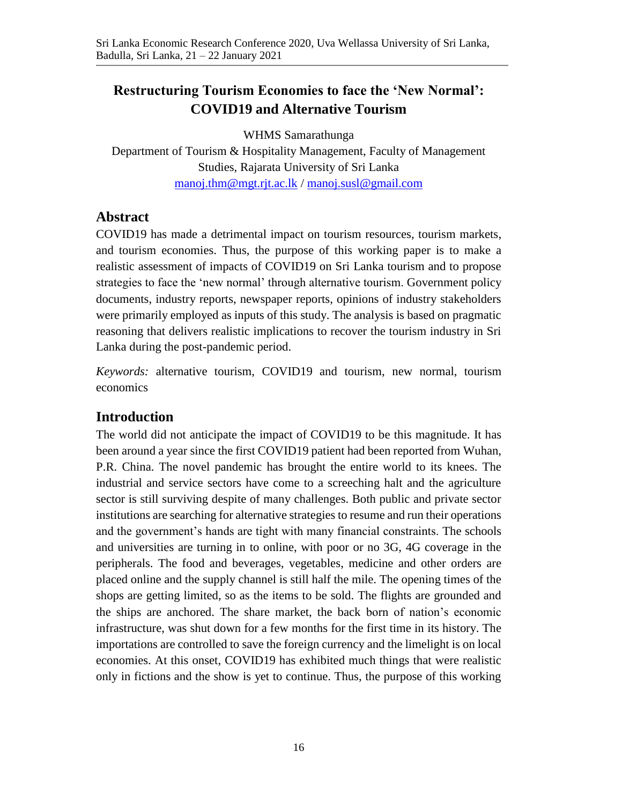# **Restructuring Tourism Economies to face the 'New Normal': COVID19 and Alternative Tourism**

WHMS Samarathunga

Department of Tourism & Hospitality Management, Faculty of Management Studies, Rajarata University of Sri Lanka [manoj.thm@mgt.rjt.ac.lk](mailto:manoj.thm@mgt.rjt.ac.lk) / [manoj.susl@gmail.com](mailto:manoj.susl@gmail.com)

### **Abstract**

COVID19 has made a detrimental impact on tourism resources, tourism markets, and tourism economies. Thus, the purpose of this working paper is to make a realistic assessment of impacts of COVID19 on Sri Lanka tourism and to propose strategies to face the 'new normal' through alternative tourism. Government policy documents, industry reports, newspaper reports, opinions of industry stakeholders were primarily employed as inputs of this study. The analysis is based on pragmatic reasoning that delivers realistic implications to recover the tourism industry in Sri Lanka during the post-pandemic period.

*Keywords:* alternative tourism, COVID19 and tourism, new normal, tourism economics

### **Introduction**

The world did not anticipate the impact of COVID19 to be this magnitude. It has been around a year since the first COVID19 patient had been reported from Wuhan, P.R. China. The novel pandemic has brought the entire world to its knees. The industrial and service sectors have come to a screeching halt and the agriculture sector is still surviving despite of many challenges. Both public and private sector institutions are searching for alternative strategies to resume and run their operations and the government's hands are tight with many financial constraints. The schools and universities are turning in to online, with poor or no 3G, 4G coverage in the peripherals. The food and beverages, vegetables, medicine and other orders are placed online and the supply channel is still half the mile. The opening times of the shops are getting limited, so as the items to be sold. The flights are grounded and the ships are anchored. The share market, the back born of nation's economic infrastructure, was shut down for a few months for the first time in its history. The importations are controlled to save the foreign currency and the limelight is on local economies. At this onset, COVID19 has exhibited much things that were realistic only in fictions and the show is yet to continue. Thus, the purpose of this working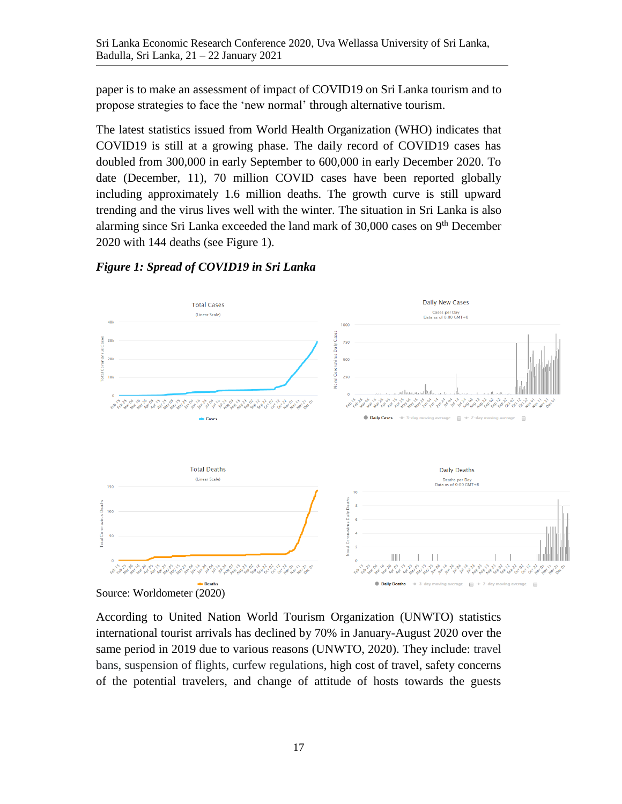paper is to make an assessment of impact of COVID19 on Sri Lanka tourism and to propose strategies to face the 'new normal' through alternative tourism.

The latest statistics issued from World Health Organization (WHO) indicates that COVID19 is still at a growing phase. The daily record of COVID19 cases has doubled from 300,000 in early September to 600,000 in early December 2020. To date (December, 11), 70 million COVID cases have been reported globally including approximately 1.6 million deaths. The growth curve is still upward trending and the virus lives well with the winter. The situation in Sri Lanka is also alarming since Sri Lanka exceeded the land mark of 30,000 cases on 9<sup>th</sup> December 2020 with 144 deaths (see Figure 1).



*Figure 1: Spread of COVID19 in Sri Lanka*

According to United Nation World Tourism Organization (UNWTO) statistics international tourist arrivals has declined by 70% in January-August 2020 over the same period in 2019 due to various reasons (UNWTO, 2020). They include: travel bans, suspension of flights, curfew regulations, high cost of travel, safety concerns of the potential travelers, and change of attitude of hosts towards the guests

Source: Worldometer (2020)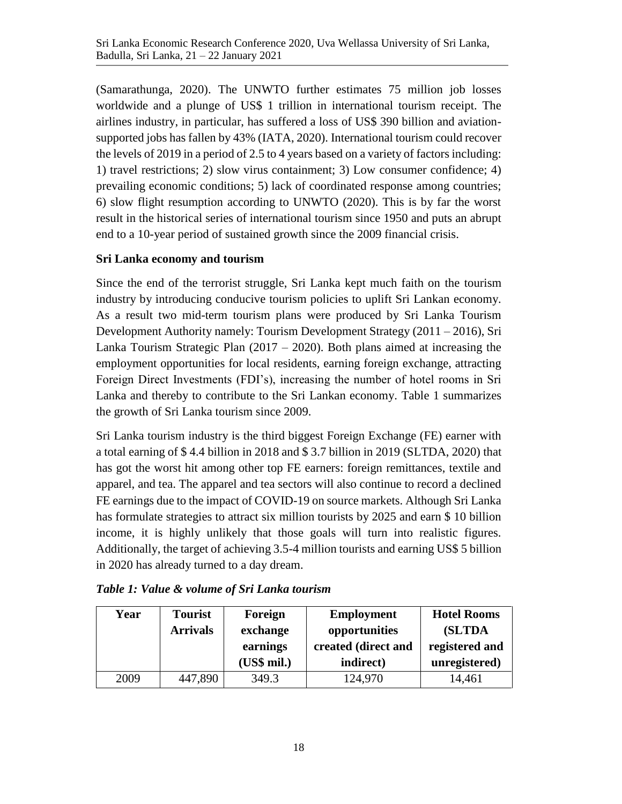(Samarathunga, 2020). The UNWTO further estimates 75 million job losses worldwide and a plunge of US\$ 1 trillion in international tourism receipt. The airlines industry, in particular, has suffered a loss of US\$ 390 billion and aviationsupported jobs has fallen by 43% (IATA, 2020). International tourism could recover the levels of 2019 in a period of 2.5 to 4 years based on a variety of factors including: 1) travel restrictions; 2) slow virus containment; 3) Low consumer confidence; 4) prevailing economic conditions; 5) lack of coordinated response among countries; 6) slow flight resumption according to UNWTO (2020). This is by far the worst result in the historical series of international tourism since 1950 and puts an abrupt end to a 10-year period of sustained growth since the 2009 financial crisis.

#### **Sri Lanka economy and tourism**

Since the end of the terrorist struggle, Sri Lanka kept much faith on the tourism industry by introducing conducive tourism policies to uplift Sri Lankan economy. As a result two mid-term tourism plans were produced by Sri Lanka Tourism Development Authority namely: Tourism Development Strategy (2011 – 2016), Sri Lanka Tourism Strategic Plan  $(2017 - 2020)$ . Both plans aimed at increasing the employment opportunities for local residents, earning foreign exchange, attracting Foreign Direct Investments (FDI's), increasing the number of hotel rooms in Sri Lanka and thereby to contribute to the Sri Lankan economy. Table 1 summarizes the growth of Sri Lanka tourism since 2009.

Sri Lanka tourism industry is the third biggest Foreign Exchange (FE) earner with a total earning of \$ 4.4 billion in 2018 and \$ 3.7 billion in 2019 (SLTDA, 2020) that has got the worst hit among other top FE earners: foreign remittances, textile and apparel, and tea. The apparel and tea sectors will also continue to record a declined FE earnings due to the impact of COVID-19 on source markets. Although Sri Lanka has formulate strategies to attract six million tourists by 2025 and earn \$ 10 billion income, it is highly unlikely that those goals will turn into realistic figures. Additionally, the target of achieving 3.5-4 million tourists and earning US\$ 5 billion in 2020 has already turned to a day dream.

| Year | <b>Tourist</b><br><b>Arrivals</b> | Foreign<br>exchange<br>earnings<br>(US\$ mil.) | <b>Employment</b><br>opportunities<br>created (direct and<br>indirect) | <b>Hotel Rooms</b><br><b>(SLTDA)</b><br>registered and<br>unregistered) |
|------|-----------------------------------|------------------------------------------------|------------------------------------------------------------------------|-------------------------------------------------------------------------|
| 2009 | 447,890                           | 349.3                                          | 124,970                                                                | 14,461                                                                  |

|  |  |  | Table 1: Value & volume of Sri Lanka tourism |
|--|--|--|----------------------------------------------|
|  |  |  |                                              |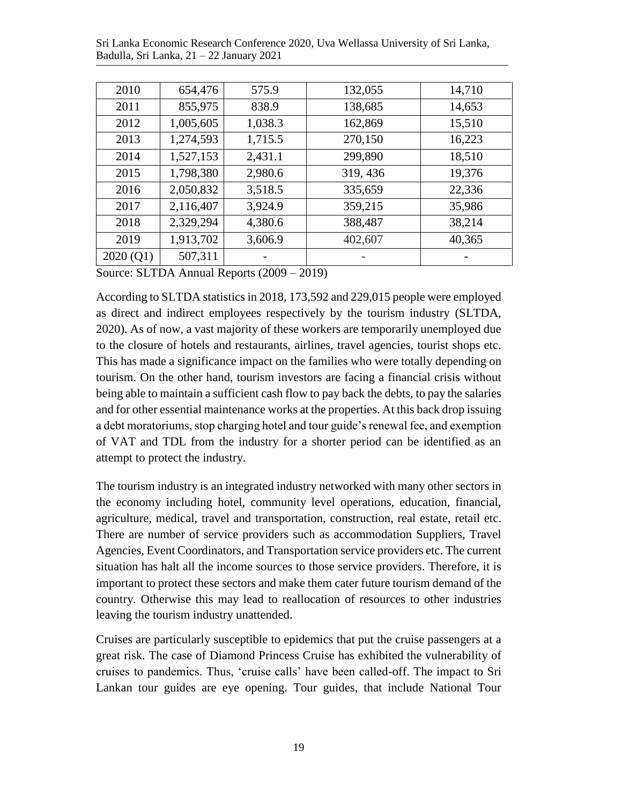Sri Lanka Economic Research Conference 2020, Uva Wellassa University of Sri Lanka, Badulla, Sri Lanka, 21 – 22 January 2021

| 2010     | 654,476   | 575.9   | 132,055  | 14,710 |
|----------|-----------|---------|----------|--------|
| 2011     | 855,975   | 838.9   | 138,685  | 14,653 |
| 2012     | 1,005,605 | 1,038.3 | 162,869  | 15,510 |
| 2013     | 1,274,593 | 1,715.5 | 270,150  | 16,223 |
| 2014     | 1,527,153 | 2,431.1 | 299,890  | 18,510 |
| 2015     | 1,798,380 | 2,980.6 | 319, 436 | 19,376 |
| 2016     | 2,050,832 | 3,518.5 | 335,659  | 22,336 |
| 2017     | 2,116,407 | 3,924.9 | 359,215  | 35,986 |
| 2018     | 2,329,294 | 4,380.6 | 388,487  | 38,214 |
| 2019     | 1,913,702 | 3,606.9 | 402,607  | 40,365 |
| 2020(Q1) | 507,311   |         |          |        |

Source: SLTDA Annual Reports (2009 – 2019)

According to SLTDA statistics in 2018, 173,592 and 229,015 people were employed as direct and indirect employees respectively by the tourism industry (SLTDA, 2020). As of now, a vast majority of these workers are temporarily unemployed due to the closure of hotels and restaurants, airlines, travel agencies, tourist shops etc. This has made a significance impact on the families who were totally depending on tourism. On the other hand, tourism investors are facing a financial crisis without being able to maintain a sufficient cash flow to pay back the debts, to pay the salaries and for other essential maintenance works at the properties. At this back drop issuing a debt moratoriums, stop charging hotel and tour guide's renewal fee, and exemption of VAT and TDL from the industry for a shorter period can be identified as an attempt to protect the industry.

The tourism industry is an integrated industry networked with many other sectors in the economy including hotel, community level operations, education, financial, agriculture, medical, travel and transportation, construction, real estate, retail etc. There are number of service providers such as accommodation Suppliers, Travel Agencies, Event Coordinators, and Transportation service providers etc. The current situation has halt all the income sources to those service providers. Therefore, it is important to protect these sectors and make them cater future tourism demand of the country. Otherwise this may lead to reallocation of resources to other industries leaving the tourism industry unattended.

Cruises are particularly susceptible to epidemics that put the cruise passengers at a great risk. The case of Diamond Princess Cruise has exhibited the vulnerability of cruises to pandemics. Thus, 'cruise calls' have been called-off. The impact to Sri Lankan tour guides are eye opening. Tour guides, that include National Tour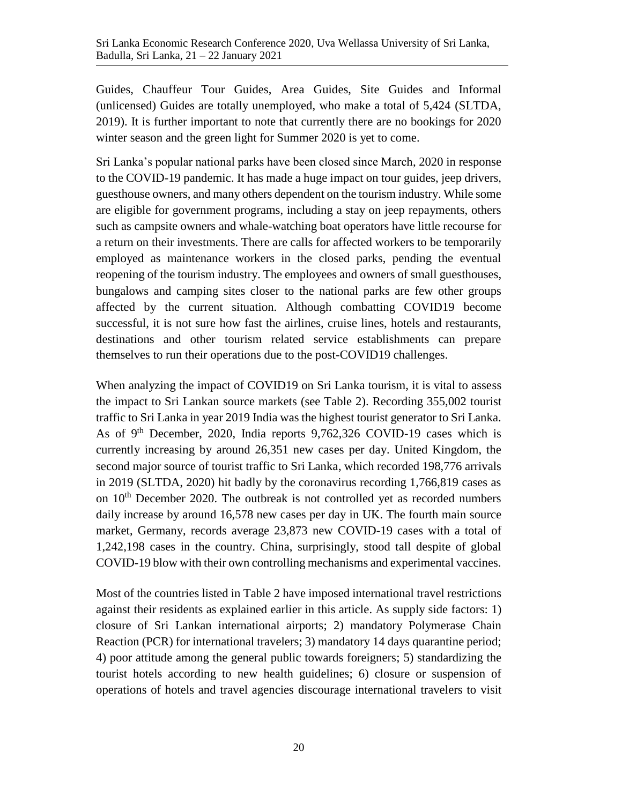Guides, Chauffeur Tour Guides, Area Guides, Site Guides and Informal (unlicensed) Guides are totally unemployed, who make a total of 5,424 (SLTDA, 2019). It is further important to note that currently there are no bookings for 2020 winter season and the green light for Summer 2020 is yet to come.

Sri Lanka's popular national parks have been closed since March, 2020 in response to the COVID-19 pandemic. It has made a huge impact on tour guides, jeep drivers, guesthouse owners, and many others dependent on the tourism industry. While some are eligible for government programs, including a stay on jeep repayments, others such as campsite owners and whale-watching boat operators have little recourse for a return on their investments. There are calls for affected workers to be temporarily employed as maintenance workers in the closed parks, pending the eventual reopening of the tourism industry. The employees and owners of small guesthouses, bungalows and camping sites closer to the national parks are few other groups affected by the current situation. Although combatting COVID19 become successful, it is not sure how fast the airlines, cruise lines, hotels and restaurants, destinations and other tourism related service establishments can prepare themselves to run their operations due to the post-COVID19 challenges.

When analyzing the impact of COVID19 on Sri Lanka tourism, it is vital to assess the impact to Sri Lankan source markets (see Table 2). Recording 355,002 tourist traffic to Sri Lanka in year 2019 India was the highest tourist generator to Sri Lanka. As of 9th December, 2020, India reports 9,762,326 COVID-19 cases which is currently increasing by around 26,351 new cases per day. United Kingdom, the second major source of tourist traffic to Sri Lanka, which recorded 198,776 arrivals in 2019 (SLTDA, 2020) hit badly by the coronavirus recording 1,766,819 cases as on  $10<sup>th</sup>$  December 2020. The outbreak is not controlled yet as recorded numbers daily increase by around 16,578 new cases per day in UK. The fourth main source market, Germany, records average 23,873 new COVID-19 cases with a total of 1,242,198 cases in the country. China, surprisingly, stood tall despite of global COVID-19 blow with their own controlling mechanisms and experimental vaccines.

Most of the countries listed in Table 2 have imposed international travel restrictions against their residents as explained earlier in this article. As supply side factors: 1) closure of Sri Lankan international airports; 2) mandatory Polymerase Chain Reaction (PCR) for international travelers; 3) mandatory 14 days quarantine period; 4) poor attitude among the general public towards foreigners; 5) standardizing the tourist hotels according to new health guidelines; 6) closure or suspension of operations of hotels and travel agencies discourage international travelers to visit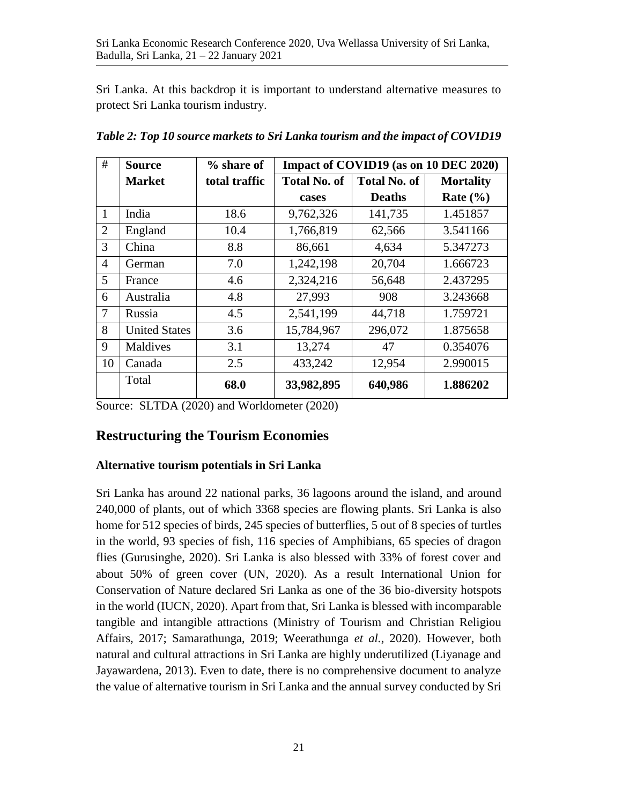Sri Lanka. At this backdrop it is important to understand alternative measures to protect Sri Lanka tourism industry.

| #              | <b>Source</b>        | % share of    | Impact of COVID19 (as on 10 DEC 2020) |                     |                  |  |  |
|----------------|----------------------|---------------|---------------------------------------|---------------------|------------------|--|--|
|                | <b>Market</b>        | total traffic | <b>Total No. of</b>                   | <b>Total No. of</b> | <b>Mortality</b> |  |  |
|                |                      |               | cases                                 | <b>Deaths</b>       | Rate $(\% )$     |  |  |
| 1              | India                | 18.6          | 9,762,326                             | 141,735             | 1.451857         |  |  |
| $\overline{2}$ | England              | 10.4          | 1,766,819                             | 62,566              | 3.541166         |  |  |
| 3              | China                | 8.8           | 86,661                                | 4,634               | 5.347273         |  |  |
| $\overline{4}$ | German               | 7.0           | 1,242,198                             | 20,704              | 1.666723         |  |  |
| 5              | France               | 4.6           | 2,324,216                             | 56,648              | 2.437295         |  |  |
| 6              | Australia            | 4.8           | 27,993                                | 908                 | 3.243668         |  |  |
| $\overline{7}$ | Russia               | 4.5           | 2,541,199                             | 44,718              | 1.759721         |  |  |
| 8              | <b>United States</b> | 3.6           | 15,784,967                            | 296,072             | 1.875658         |  |  |
| 9              | Maldives             | 3.1           | 13,274                                | 47                  | 0.354076         |  |  |
| 10             | Canada               | 2.5           | 433,242                               | 12,954              | 2.990015         |  |  |
|                | Total                | 68.0          | 33,982,895                            | 640,986             | 1.886202         |  |  |

*Table 2: Top 10 source markets to Sri Lanka tourism and the impact of COVID19*

Source: SLTDA (2020) and Worldometer (2020)

### **Restructuring the Tourism Economies**

### **Alternative tourism potentials in Sri Lanka**

Sri Lanka has around 22 national parks, 36 lagoons around the island, and around 240,000 of plants, out of which 3368 species are flowing plants. Sri Lanka is also home for 512 species of birds, 245 species of butterflies, 5 out of 8 species of turtles in the world, 93 species of fish, 116 species of Amphibians, 65 species of dragon flies (Gurusinghe, 2020). Sri Lanka is also blessed with 33% of forest cover and about 50% of green cover (UN, 2020). As a result International Union for Conservation of Nature declared Sri Lanka as one of the 36 bio-diversity hotspots in the world (IUCN, 2020). Apart from that, Sri Lanka is blessed with incomparable tangible and intangible attractions (Ministry of Tourism and Christian Religiou Affairs, 2017; Samarathunga, 2019; Weerathunga *et al.*, 2020). However, both natural and cultural attractions in Sri Lanka are highly underutilized (Liyanage and Jayawardena, 2013). Even to date, there is no comprehensive document to analyze the value of alternative tourism in Sri Lanka and the annual survey conducted by Sri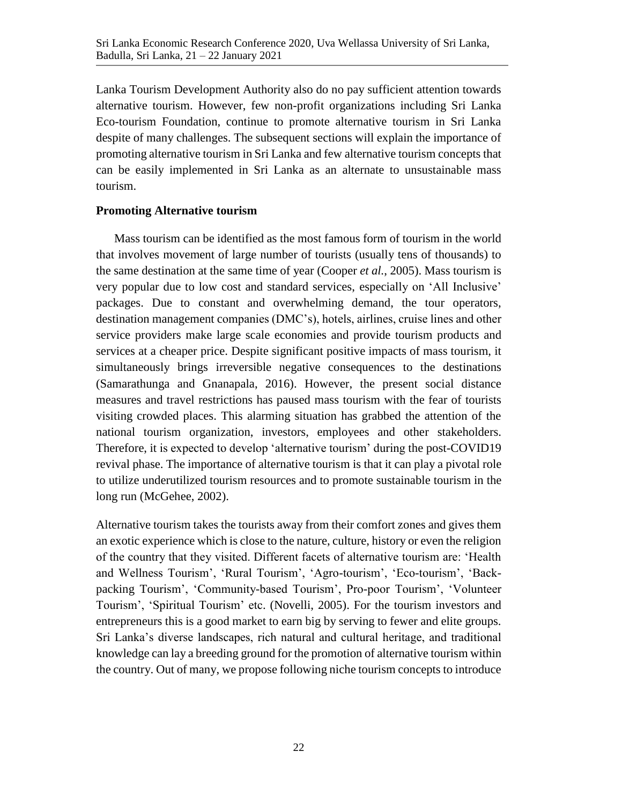Lanka Tourism Development Authority also do no pay sufficient attention towards alternative tourism. However, few non-profit organizations including Sri Lanka Eco-tourism Foundation, continue to promote alternative tourism in Sri Lanka despite of many challenges. The subsequent sections will explain the importance of promoting alternative tourism in Sri Lanka and few alternative tourism concepts that can be easily implemented in Sri Lanka as an alternate to unsustainable mass tourism.

#### **Promoting Alternative tourism**

Mass tourism can be identified as the most famous form of tourism in the world that involves movement of large number of tourists (usually tens of thousands) to the same destination at the same time of year (Cooper *et al.*, 2005). Mass tourism is very popular due to low cost and standard services, especially on 'All Inclusive' packages. Due to constant and overwhelming demand, the tour operators, destination management companies (DMC's), hotels, airlines, cruise lines and other service providers make large scale economies and provide tourism products and services at a cheaper price. Despite significant positive impacts of mass tourism, it simultaneously brings irreversible negative consequences to the destinations (Samarathunga and Gnanapala, 2016). However, the present social distance measures and travel restrictions has paused mass tourism with the fear of tourists visiting crowded places. This alarming situation has grabbed the attention of the national tourism organization, investors, employees and other stakeholders. Therefore, it is expected to develop 'alternative tourism' during the post-COVID19 revival phase. The importance of alternative tourism is that it can play a pivotal role to utilize underutilized tourism resources and to promote sustainable tourism in the long run (McGehee, 2002).

Alternative tourism takes the tourists away from their comfort zones and gives them an exotic experience which is close to the nature, culture, history or even the religion of the country that they visited. Different facets of alternative tourism are: 'Health and Wellness Tourism', 'Rural Tourism', 'Agro-tourism', 'Eco-tourism', 'Backpacking Tourism', 'Community-based Tourism', Pro-poor Tourism', 'Volunteer Tourism', 'Spiritual Tourism' etc. (Novelli, 2005). For the tourism investors and entrepreneurs this is a good market to earn big by serving to fewer and elite groups. Sri Lanka's diverse landscapes, rich natural and cultural heritage, and traditional knowledge can lay a breeding ground for the promotion of alternative tourism within the country. Out of many, we propose following niche tourism concepts to introduce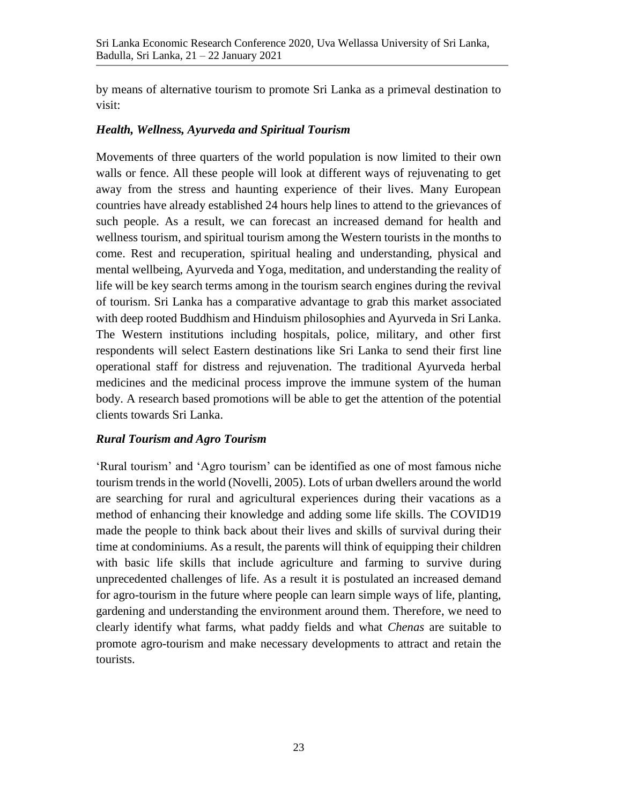by means of alternative tourism to promote Sri Lanka as a primeval destination to visit:

#### *Health, Wellness, Ayurveda and Spiritual Tourism*

Movements of three quarters of the world population is now limited to their own walls or fence. All these people will look at different ways of rejuvenating to get away from the stress and haunting experience of their lives. Many European countries have already established 24 hours help lines to attend to the grievances of such people. As a result, we can forecast an increased demand for health and wellness tourism, and spiritual tourism among the Western tourists in the months to come. Rest and recuperation, spiritual healing and understanding, physical and mental wellbeing, Ayurveda and Yoga, meditation, and understanding the reality of life will be key search terms among in the tourism search engines during the revival of tourism. Sri Lanka has a comparative advantage to grab this market associated with deep rooted Buddhism and Hinduism philosophies and Ayurveda in Sri Lanka. The Western institutions including hospitals, police, military, and other first respondents will select Eastern destinations like Sri Lanka to send their first line operational staff for distress and rejuvenation. The traditional Ayurveda herbal medicines and the medicinal process improve the immune system of the human body. A research based promotions will be able to get the attention of the potential clients towards Sri Lanka.

#### *Rural Tourism and Agro Tourism*

'Rural tourism' and 'Agro tourism' can be identified as one of most famous niche tourism trends in the world (Novelli, 2005). Lots of urban dwellers around the world are searching for rural and agricultural experiences during their vacations as a method of enhancing their knowledge and adding some life skills. The COVID19 made the people to think back about their lives and skills of survival during their time at condominiums. As a result, the parents will think of equipping their children with basic life skills that include agriculture and farming to survive during unprecedented challenges of life. As a result it is postulated an increased demand for agro-tourism in the future where people can learn simple ways of life, planting, gardening and understanding the environment around them. Therefore, we need to clearly identify what farms, what paddy fields and what *Chenas* are suitable to promote agro-tourism and make necessary developments to attract and retain the tourists.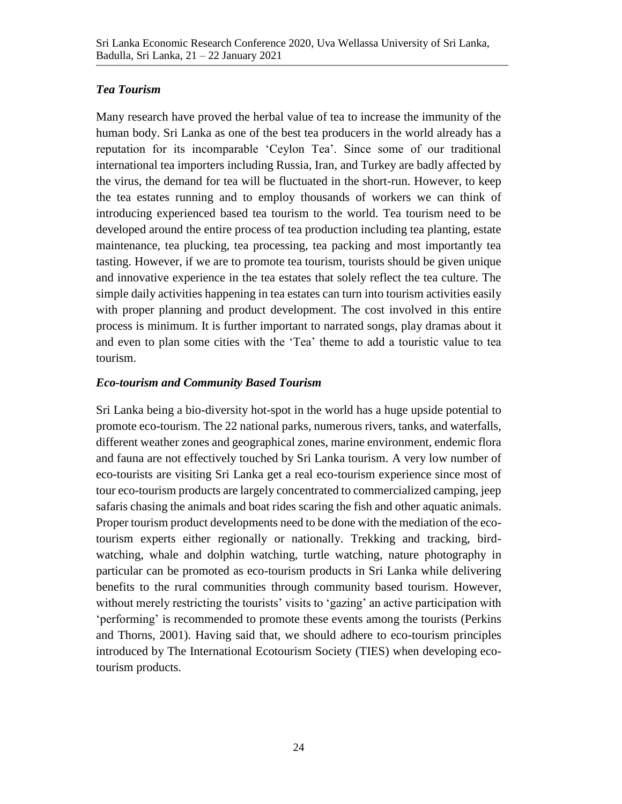#### *Tea Tourism*

Many research have proved the herbal value of tea to increase the immunity of the human body. Sri Lanka as one of the best tea producers in the world already has a reputation for its incomparable 'Ceylon Tea'. Since some of our traditional international tea importers including Russia, Iran, and Turkey are badly affected by the virus, the demand for tea will be fluctuated in the short-run. However, to keep the tea estates running and to employ thousands of workers we can think of introducing experienced based tea tourism to the world. Tea tourism need to be developed around the entire process of tea production including tea planting, estate maintenance, tea plucking, tea processing, tea packing and most importantly tea tasting. However, if we are to promote tea tourism, tourists should be given unique and innovative experience in the tea estates that solely reflect the tea culture. The simple daily activities happening in tea estates can turn into tourism activities easily with proper planning and product development. The cost involved in this entire process is minimum. It is further important to narrated songs, play dramas about it and even to plan some cities with the 'Tea' theme to add a touristic value to tea tourism.

#### *Eco-tourism and Community Based Tourism*

Sri Lanka being a bio-diversity hot-spot in the world has a huge upside potential to promote eco-tourism. The 22 national parks, numerous rivers, tanks, and waterfalls, different weather zones and geographical zones, marine environment, endemic flora and fauna are not effectively touched by Sri Lanka tourism. A very low number of eco-tourists are visiting Sri Lanka get a real eco-tourism experience since most of tour eco-tourism products are largely concentrated to commercialized camping, jeep safaris chasing the animals and boat rides scaring the fish and other aquatic animals. Proper tourism product developments need to be done with the mediation of the ecotourism experts either regionally or nationally. Trekking and tracking, birdwatching, whale and dolphin watching, turtle watching, nature photography in particular can be promoted as eco-tourism products in Sri Lanka while delivering benefits to the rural communities through community based tourism. However, without merely restricting the tourists' visits to 'gazing' an active participation with 'performing' is recommended to promote these events among the tourists (Perkins and Thorns, 2001). Having said that, we should adhere to eco-tourism principles introduced by The International Ecotourism Society (TIES) when developing ecotourism products.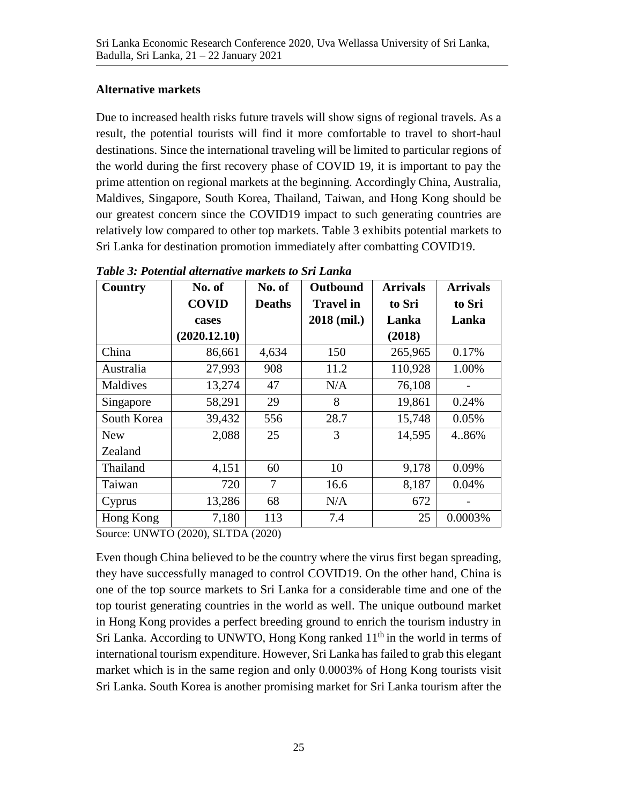#### **Alternative markets**

Due to increased health risks future travels will show signs of regional travels. As a result, the potential tourists will find it more comfortable to travel to short-haul destinations. Since the international traveling will be limited to particular regions of the world during the first recovery phase of COVID 19, it is important to pay the prime attention on regional markets at the beginning. Accordingly China, Australia, Maldives, Singapore, South Korea, Thailand, Taiwan, and Hong Kong should be our greatest concern since the COVID19 impact to such generating countries are relatively low compared to other top markets. Table 3 exhibits potential markets to Sri Lanka for destination promotion immediately after combatting COVID19.

| Country     | No. of<br><b>COVID</b><br>cases<br>(2020.12.10) | No. of<br><b>Deaths</b> | Outbound<br><b>Travel in</b><br>2018 (mil.) | <b>Arrivals</b><br>to Sri<br>Lanka<br>(2018) | <b>Arrivals</b><br>to Sri<br>Lanka |
|-------------|-------------------------------------------------|-------------------------|---------------------------------------------|----------------------------------------------|------------------------------------|
| China       | 86,661                                          | 4,634                   | 150                                         | 265,965                                      | 0.17%                              |
| Australia   | 27,993                                          | 908                     | 11.2                                        | 110,928                                      | 1.00%                              |
| Maldives    | 13,274                                          | 47                      | N/A                                         | 76,108                                       |                                    |
| Singapore   | 58,291                                          | 29                      | 8                                           | 19,861                                       | 0.24%                              |
| South Korea | 39,432                                          | 556                     | 28.7                                        | 15,748                                       | 0.05%                              |
| <b>New</b>  | 2,088                                           | 25                      | 3                                           | 14,595                                       | 4.86%                              |
| Zealand     |                                                 |                         |                                             |                                              |                                    |
| Thailand    | 4,151                                           | 60                      | 10                                          | 9,178                                        | 0.09%                              |
| Taiwan      | 720                                             | 7                       | 16.6                                        | 8,187                                        | 0.04%                              |
| Cyprus      | 13,286                                          | 68                      | N/A                                         | 672                                          |                                    |
| Hong Kong   | 7,180                                           | 113                     | 7.4                                         | 25                                           | 0.0003%                            |

*Table 3: Potential alternative markets to Sri Lanka* 

Source: UNWTO (2020), SLTDA (2020)

Even though China believed to be the country where the virus first began spreading, they have successfully managed to control COVID19. On the other hand, China is one of the top source markets to Sri Lanka for a considerable time and one of the top tourist generating countries in the world as well. The unique outbound market in Hong Kong provides a perfect breeding ground to enrich the tourism industry in Sri Lanka. According to UNWTO, Hong Kong ranked  $11<sup>th</sup>$  in the world in terms of international tourism expenditure. However, Sri Lanka has failed to grab this elegant market which is in the same region and only 0.0003% of Hong Kong tourists visit Sri Lanka. South Korea is another promising market for Sri Lanka tourism after the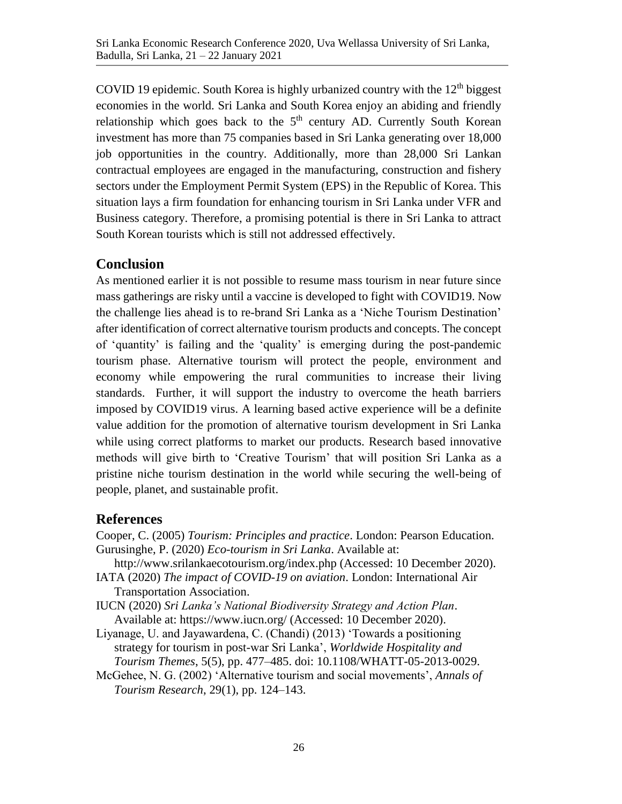COVID 19 epidemic. South Korea is highly urbanized country with the  $12<sup>th</sup>$  biggest economies in the world. Sri Lanka and South Korea enjoy an abiding and friendly relationship which goes back to the  $5<sup>th</sup>$  century AD. Currently South Korean investment has more than 75 companies based in Sri Lanka generating over 18,000 job opportunities in the country. Additionally, more than 28,000 Sri Lankan contractual employees are engaged in the manufacturing, construction and fishery sectors under the Employment Permit System (EPS) in the Republic of Korea. This situation lays a firm foundation for enhancing tourism in Sri Lanka under VFR and Business category. Therefore, a promising potential is there in Sri Lanka to attract South Korean tourists which is still not addressed effectively.

## **Conclusion**

As mentioned earlier it is not possible to resume mass tourism in near future since mass gatherings are risky until a vaccine is developed to fight with COVID19. Now the challenge lies ahead is to re-brand Sri Lanka as a 'Niche Tourism Destination' after identification of correct alternative tourism products and concepts. The concept of 'quantity' is failing and the 'quality' is emerging during the post-pandemic tourism phase. Alternative tourism will protect the people, environment and economy while empowering the rural communities to increase their living standards. Further, it will support the industry to overcome the heath barriers imposed by COVID19 virus. A learning based active experience will be a definite value addition for the promotion of alternative tourism development in Sri Lanka while using correct platforms to market our products. Research based innovative methods will give birth to 'Creative Tourism' that will position Sri Lanka as a pristine niche tourism destination in the world while securing the well-being of people, planet, and sustainable profit.

### **References**

- Cooper, C. (2005) *Tourism: Principles and practice*. London: Pearson Education. Gurusinghe, P. (2020) *Eco-tourism in Sri Lanka*. Available at:
- http://www.srilankaecotourism.org/index.php (Accessed: 10 December 2020).
- IATA (2020) *The impact of COVID-19 on aviation*. London: International Air Transportation Association.
- IUCN (2020) *Sri Lanka's National Biodiversity Strategy and Action Plan*. Available at: https://www.iucn.org/ (Accessed: 10 December 2020).
- Liyanage, U. and Jayawardena, C. (Chandi) (2013) 'Towards a positioning strategy for tourism in post-war Sri Lanka', *Worldwide Hospitality and Tourism Themes*, 5(5), pp. 477–485. doi: 10.1108/WHATT-05-2013-0029.
- McGehee, N. G. (2002) 'Alternative tourism and social movements', *Annals of Tourism Research*, 29(1), pp. 124–143.